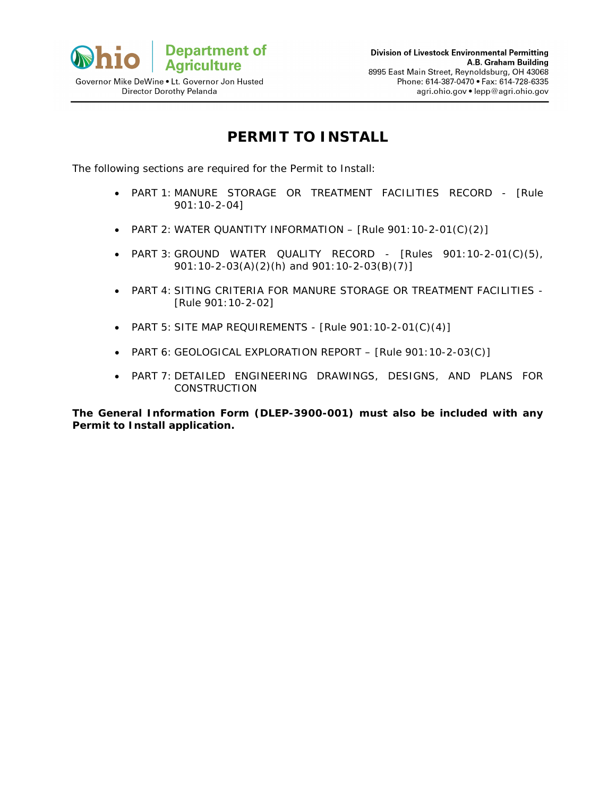

# **PERMIT TO INSTALL**

The following sections are required for the Permit to Install:

- PART 1: MANURE STORAGE OR TREATMENT FACILITIES RECORD [Rule 901:10-2-04]
- PART 2: WATER QUANTITY INFORMATION [Rule 901:10-2-01(C)(2)]
- PART 3: GROUND WATER QUALITY RECORD *-* [Rules 901:10-2-01(C)(5), 901:10-2-03(A)(2)(h) and 901:10-2-03(B)(7)]
- PART 4: SITING CRITERIA FOR MANURE STORAGE OR TREATMENT FACILITIES *-* [Rule 901:10-2-02]
- PART 5: SITE MAP REQUIREMENTS[Rule 901:10-2-01(C)(4)]
- PART 6: GEOLOGICAL EXPLORATION REPORT [Rule 901:10-2-03(C)]
- PART 7: DETAILED ENGINEERING DRAWINGS, DESIGNS, AND PLANS FOR **CONSTRUCTION**

**The General Information Form (DLEP-3900-001) must also be included with any Permit to Install application.**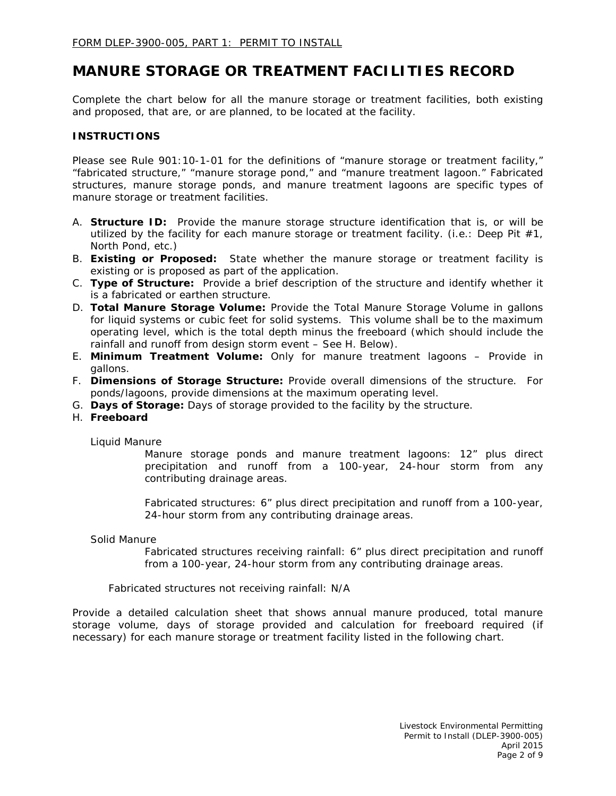## **MANURE STORAGE OR TREATMENT FACILITIES RECORD**

Complete the chart below for all the manure storage or treatment facilities, both existing and proposed, that are, or are planned, to be located at the facility.

#### **INSTRUCTIONS**

Please see Rule 901:10-1-01 for the definitions of "manure storage or treatment facility," "fabricated structure," "manure storage pond," and "manure treatment lagoon." Fabricated structures, manure storage ponds, and manure treatment lagoons are specific types of manure storage or treatment facilities.

- A. **Structure ID:** Provide the manure storage structure identification that is, or will be utilized by the facility for each manure storage or treatment facility. (i.e.: Deep Pit  $#1$ , North Pond, etc.)
- B. **Existing or Proposed:** State whether the manure storage or treatment facility is existing or is proposed as part of the application.
- C. **Type of Structure:** Provide a brief description of the structure and identify whether it is a fabricated or earthen structure.
- D. **Total Manure Storage Volume:** Provide the Total Manure Storage Volume in gallons for liquid systems or cubic feet for solid systems. This volume shall be to the maximum operating level, which is the total depth minus the freeboard (which should include the rainfall and runoff from design storm event – See H. Below).
- E. **Minimum Treatment Volume:** Only for manure treatment lagoons Provide in gallons.
- F. **Dimensions of Storage Structure:** Provide overall dimensions of the structure. For ponds/lagoons, provide dimensions at the maximum operating level.
- G. **Days of Storage:** Days of storage provided to the facility by the structure.
- H. **Freeboard**

Liquid Manure

Manure storage ponds and manure treatment lagoons: 12" plus direct precipitation and runoff from a 100-year, 24-hour storm from any contributing drainage areas.

Fabricated structures: 6" plus direct precipitation and runoff from a 100-year, 24-hour storm from any contributing drainage areas.

#### Solid Manure

Fabricated structures receiving rainfall: 6" plus direct precipitation and runoff from a 100-year, 24-hour storm from any contributing drainage areas.

Fabricated structures not receiving rainfall: N/A

Provide a detailed calculation sheet that shows annual manure produced, total manure storage volume, days of storage provided and calculation for freeboard required (if necessary) for each manure storage or treatment facility listed in the following chart.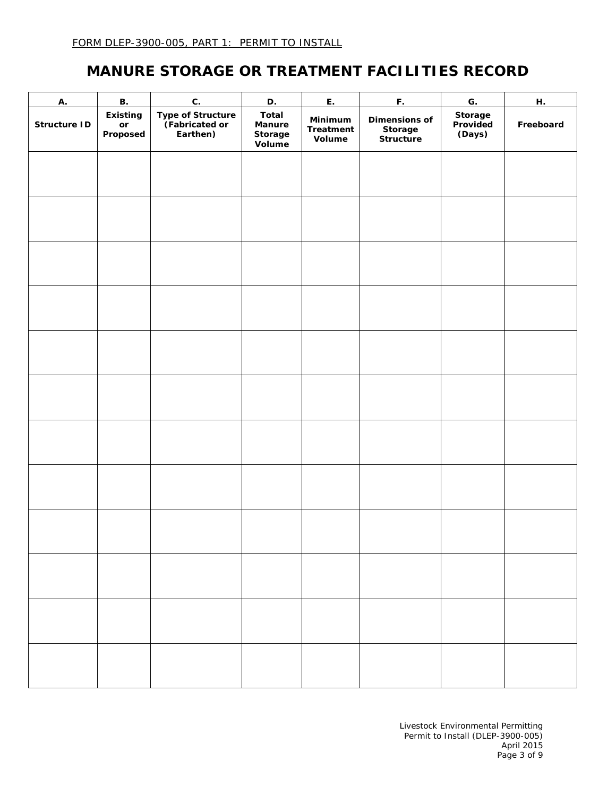# **MANURE STORAGE OR TREATMENT FACILITIES RECORD**

| A.           | <b>B.</b>                                                 | $\mathbf{C}.$                                   | D.                                   | E.                                    | F.                                    | $\overline{G}$ .              | H.        |
|--------------|-----------------------------------------------------------|-------------------------------------------------|--------------------------------------|---------------------------------------|---------------------------------------|-------------------------------|-----------|
| Structure ID | <b>Existing</b><br>$\mathop{\sf or}\nolimits$<br>Proposed | Type of Structure<br>(Fabricated or<br>Earthen) | Total<br>Manure<br>Storage<br>Volume | Minimum<br><b>Treatment</b><br>Volume | Dimensions of<br>Storage<br>Structure | Storage<br>Provided<br>(Days) | Freeboard |
|              |                                                           |                                                 |                                      |                                       |                                       |                               |           |
|              |                                                           |                                                 |                                      |                                       |                                       |                               |           |
|              |                                                           |                                                 |                                      |                                       |                                       |                               |           |
|              |                                                           |                                                 |                                      |                                       |                                       |                               |           |
|              |                                                           |                                                 |                                      |                                       |                                       |                               |           |
|              |                                                           |                                                 |                                      |                                       |                                       |                               |           |
|              |                                                           |                                                 |                                      |                                       |                                       |                               |           |
|              |                                                           |                                                 |                                      |                                       |                                       |                               |           |
|              |                                                           |                                                 |                                      |                                       |                                       |                               |           |
|              |                                                           |                                                 |                                      |                                       |                                       |                               |           |
|              |                                                           |                                                 |                                      |                                       |                                       |                               |           |
|              |                                                           |                                                 |                                      |                                       |                                       |                               |           |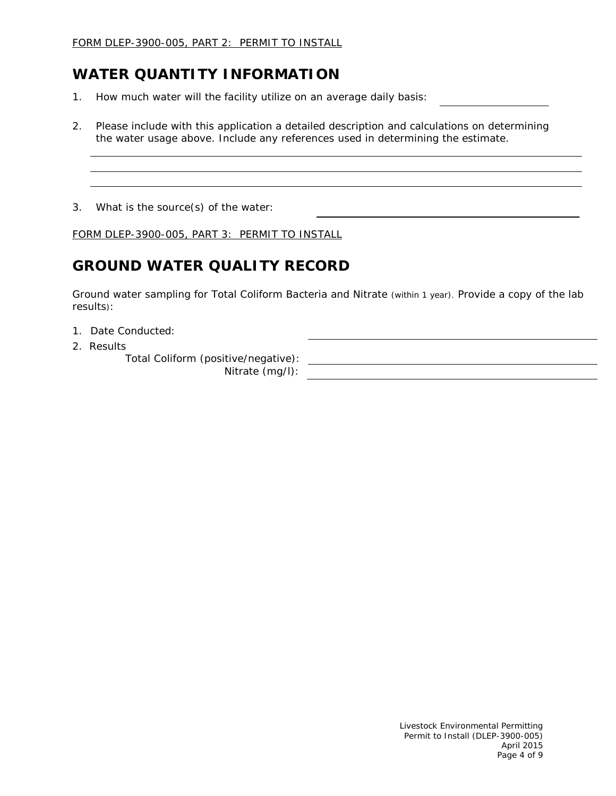## **WATER QUANTITY INFORMATION**

- 1. How much water will the facility utilize on an average daily basis:
- 2. Please include with this application a detailed description and calculations on determining the water usage above. Include any references used in determining the estimate.

3. What is the source(s) of the water:

FORM DLEP-3900-005, PART 3: PERMIT TO INSTALL

# **GROUND WATER QUALITY RECORD**

Ground water sampling for Total Coliform Bacteria and Nitrate (within 1 year). Provide a copy of the lab results):

- 1. Date Conducted:
- 2. Results

Total Coliform (positive/negative):

Nitrate (mg/l):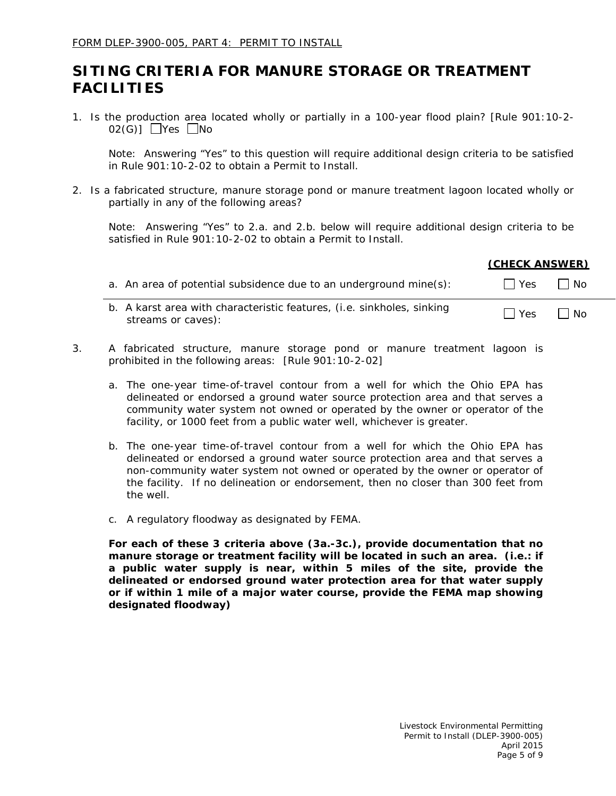## **SITING CRITERIA FOR MANURE STORAGE OR TREATMENT FACILITIES**

1. Is the production area located wholly or partially in a 100-year flood plain? [Rule 901:10-2-  $02(G)$ ]  $\Box$ Yes  $\Box$ No

*Note: Answering "Yes" to this question will require additional design criteria to be satisfied in Rule 901:10-2-02 to obtain a Permit to Install.*

2. Is a fabricated structure, manure storage pond or manure treatment lagoon located wholly or partially in any of the following areas?

*Note: Answering "Yes" to 2.a. and 2.b. below will require additional design criteria to be satisfied in Rule 901:10-2-02 to obtain a Permit to Install.*

|                                                                   | (UMEUN ANSWER) |           |
|-------------------------------------------------------------------|----------------|-----------|
| a. An area of potential subsidence due to an underground mine(s): | $\Box$ Yes     | $\Box$ No |
|                                                                   |                |           |

- b. A karst area with characteristic features, (i.e. sinkholes, sinking  $\overline{R}$  Natistial and with characteristic reatures, (i.e. sinkilotes, sinkilogy  $\Box$  Yes  $\Box$  No streams or caves):
- 3. A fabricated structure, manure storage pond or manure treatment lagoon is prohibited in the following areas: [*Rule 901:10-2-02*]
	- a. The one-year time-of-travel contour from a well for which the Ohio EPA has delineated or endorsed a ground water source protection area and that serves a community water system not owned or operated by the owner or operator of the facility, or 1000 feet from a public water well, whichever is greater.
	- b. The one-year time-of-travel contour from a well for which the Ohio EPA has delineated or endorsed a ground water source protection area and that serves a non-community water system not owned or operated by the owner or operator of the facility. If no delineation or endorsement, then no closer than 300 feet from the well.
	- c. A regulatory floodway as designated by FEMA.

**For each of these 3 criteria above (3a.-3c.), provide documentation that no manure storage or treatment facility will be located in such an area. (i.e.: if a public water supply is near, within 5 miles of the site, provide the delineated or endorsed ground water protection area for that water supply or if within 1 mile of a major water course, provide the FEMA map showing designated floodway)**

**(CHECK ANSWER)**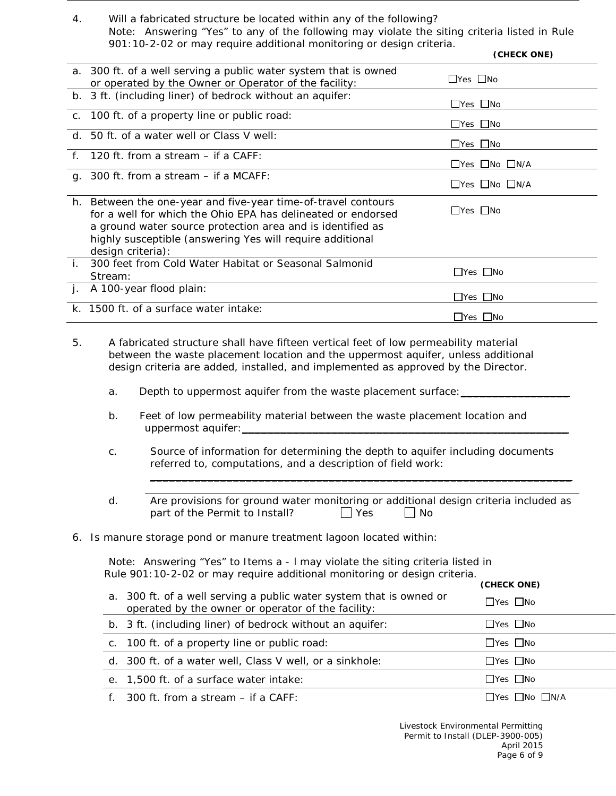4. Will a fabricated structure be located within any of the following? *Note: Answering "Yes" to any of the following may violate the siting criteria listed in Rule 901:10-2-02 or may require additional monitoring or design criteria.*

|    |                                                                                                                                                                                                                                                                               | (CHECK ONE)          |
|----|-------------------------------------------------------------------------------------------------------------------------------------------------------------------------------------------------------------------------------------------------------------------------------|----------------------|
|    | a. 300 ft. of a well serving a public water system that is owned<br>or operated by the Owner or Operator of the facility:                                                                                                                                                     | $\Box$ Yes $\Box$ No |
|    | b. 3 ft. (including liner) of bedrock without an aquifer:                                                                                                                                                                                                                     | $\Box$ Yes $\Box$ No |
|    | c. 100 ft. of a property line or public road:                                                                                                                                                                                                                                 | $\Box$ Yes $\Box$ No |
|    | d. 50 ft. of a water well or Class V well:                                                                                                                                                                                                                                    | $\Box$ Yes $\Box$ No |
|    | f. 120 ft. from a stream - if a CAFF:                                                                                                                                                                                                                                         | □Yes □No □N/A        |
|    | g. 300 ft. from a stream $-$ if a MCAFF:                                                                                                                                                                                                                                      | □Yes □No □N/A        |
|    | h. Between the one-year and five-year time-of-travel contours<br>for a well for which the Ohio EPA has delineated or endorsed<br>a ground water source protection area and is identified as<br>highly susceptible (answering Yes will require additional<br>design criteria): | $\Box$ Yes $\Box$ No |
| i. | 300 feet from Cold Water Habitat or Seasonal Salmonid<br>Stream:                                                                                                                                                                                                              | $\Box$ Yes $\Box$ No |
| j. | A 100-year flood plain:                                                                                                                                                                                                                                                       | $\Box$ Yes $\Box$ No |
|    | k. 1500 ft. of a surface water intake:                                                                                                                                                                                                                                        | $\Box$ Yes $\Box$ No |
| 5. | A fabricated structure shall have fifteen vertical feet of low permeability material<br>between the waste placement location and the uppermost aquifer, unless additional<br>design criteria are added, installed, and implemented as approved by the Director.               |                      |

- a. Depth to uppermost aquifer from the waste placement surface:
- b. Feet of low permeability material between the waste placement location and uppermost aquifer:\_\_\_\_\_\_\_\_\_\_\_\_\_\_\_\_\_\_\_\_\_\_\_\_\_\_\_\_\_\_\_\_\_\_\_\_\_\_\_\_\_\_\_\_\_\_\_\_\_\_\_
- c. Source of information for determining the depth to aquifer including documents referred to, computations, and a description of field work:
- d. Are provisions for ground water monitoring or additional design criteria included as part of the Permit to Install?  $\Box$  Yes  $\Box$  No

\_\_\_\_\_\_\_\_\_\_\_\_\_\_\_\_\_\_\_\_\_\_\_\_\_\_\_\_\_\_\_\_\_\_\_\_\_\_\_\_\_\_\_\_\_\_\_\_\_\_\_\_\_\_\_\_\_\_\_\_\_\_\_\_\_\_

6. Is manure storage pond or manure treatment lagoon located within:

*Note: Answering "Yes" to Items a - l may violate the siting criteria listed in Rule 901:10-2-02 or may require additional monitoring or design criteria.*

|                                                                                                                           | (CHECK ONE)          |
|---------------------------------------------------------------------------------------------------------------------------|----------------------|
| a. 300 ft. of a well serving a public water system that is owned or<br>operated by the owner or operator of the facility: | $\Box$ Yes $\Box$ No |
| b. 3 ft. (including liner) of bedrock without an aquifer:                                                                 | $\Box$ Yes $\Box$ No |
| c. 100 ft. of a property line or public road:                                                                             | $\Box$ Yes $\Box$ No |
| d. 300 ft. of a water well, Class V well, or a sinkhole:                                                                  | $\Box$ Yes $\Box$ No |
| e. 1,500 ft. of a surface water intake:                                                                                   | $\Box$ Yes $\Box$ No |
| f. $300$ ft. from a stream $-$ if a CAFF:                                                                                 | _Yes __No __N/A      |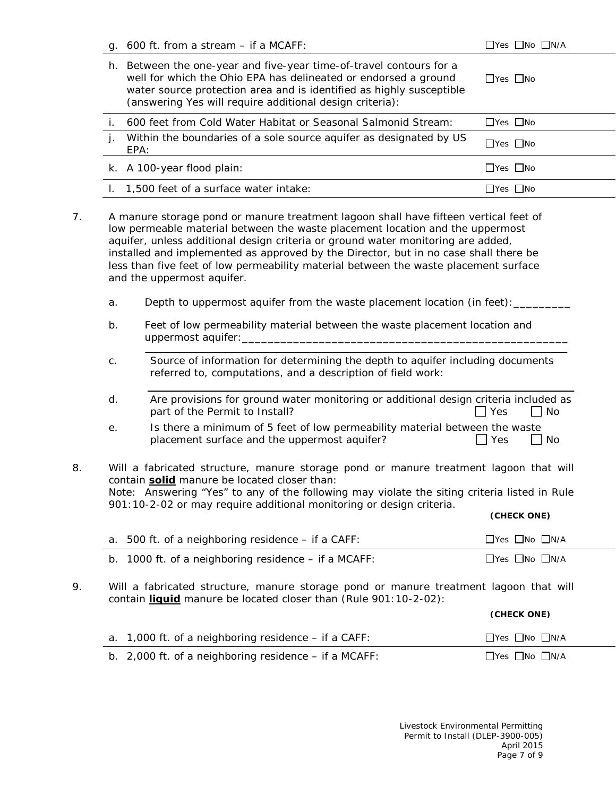|    | g. 600 ft. from a stream - if a MCAFF:                                                                                                                                                                                                                                                                                                                                                                                                                                  | □Yes □No □N/A                |
|----|-------------------------------------------------------------------------------------------------------------------------------------------------------------------------------------------------------------------------------------------------------------------------------------------------------------------------------------------------------------------------------------------------------------------------------------------------------------------------|------------------------------|
|    | h. Between the one-year and five-year time-of-travel contours for a<br>well for which the Ohio EPA has delineated or endorsed a ground<br>water source protection area and is identified as highly susceptible<br>(answering Yes will require additional design criteria):                                                                                                                                                                                              | $\Box$ Yes $\Box$ No         |
| i. | 600 feet from Cold Water Habitat or Seasonal Salmonid Stream:                                                                                                                                                                                                                                                                                                                                                                                                           | $\Box$ Yes $\Box$ No         |
| j. | Within the boundaries of a sole source aquifer as designated by US<br>EPA:                                                                                                                                                                                                                                                                                                                                                                                              | $\Box$ Yes $\Box$ No         |
|    | k. A 100-year flood plain:                                                                                                                                                                                                                                                                                                                                                                                                                                              | $\Box$ Yes $\Box$ No         |
|    | I. 1,500 feet of a surface water intake:                                                                                                                                                                                                                                                                                                                                                                                                                                | $\Box$ Yes $\Box$ No         |
|    | A manure storage pond or manure treatment lagoon shall have fifteen vertical feet of<br>low permeable material between the waste placement location and the uppermost<br>aquifer, unless additional design criteria or ground water monitoring are added,<br>installed and implemented as approved by the Director, but in no case shall there be<br>less than five feet of low permeability material between the waste placement surface<br>and the uppermost aquifer. |                              |
| a. | Depth to uppermost aquifer from the waste placement location (in feet): ______                                                                                                                                                                                                                                                                                                                                                                                          |                              |
| b. | Feet of low permeability material between the waste placement location and                                                                                                                                                                                                                                                                                                                                                                                              |                              |
|    |                                                                                                                                                                                                                                                                                                                                                                                                                                                                         |                              |
| C. | Source of information for determining the depth to aquifer including documents<br>referred to, computations, and a description of field work:                                                                                                                                                                                                                                                                                                                           |                              |
| d. | Are provisions for ground water monitoring or additional design criteria included as<br>part of the Permit to Install?                                                                                                                                                                                                                                                                                                                                                  | Yes<br>No                    |
| е. | Is there a minimum of 5 feet of low permeability material between the waste<br>placement surface and the uppermost aquifer?                                                                                                                                                                                                                                                                                                                                             | $\Box$ No<br>Yes             |
|    | Will a fabricated structure, manure storage pond or manure treatment lagoon that will<br>contain solid manure be located closer than:<br>Note: Answering "Yes" to any of the following may violate the siting criteria listed in Rule<br>901:10-2-02 or may require additional monitoring or design criteria.                                                                                                                                                           |                              |
|    |                                                                                                                                                                                                                                                                                                                                                                                                                                                                         | (CHECK ONE)                  |
|    | a. 500 ft. of a neighboring residence - if a CAFF:                                                                                                                                                                                                                                                                                                                                                                                                                      | □Yes □No □N/A                |
|    | b. 1000 ft. of a neighboring residence $-$ if a MCAFF:<br>Will a fabricated structure, manure storage pond or manure treatment lagoon that will<br>contain liquid manure be located closer than (Rule 901:10-2-02):                                                                                                                                                                                                                                                     | □Yes □No □N/A<br>(CHECK ONE) |
|    | a. 1,000 ft. of a neighboring residence - if a CAFF:                                                                                                                                                                                                                                                                                                                                                                                                                    | □Yes □No □N/A                |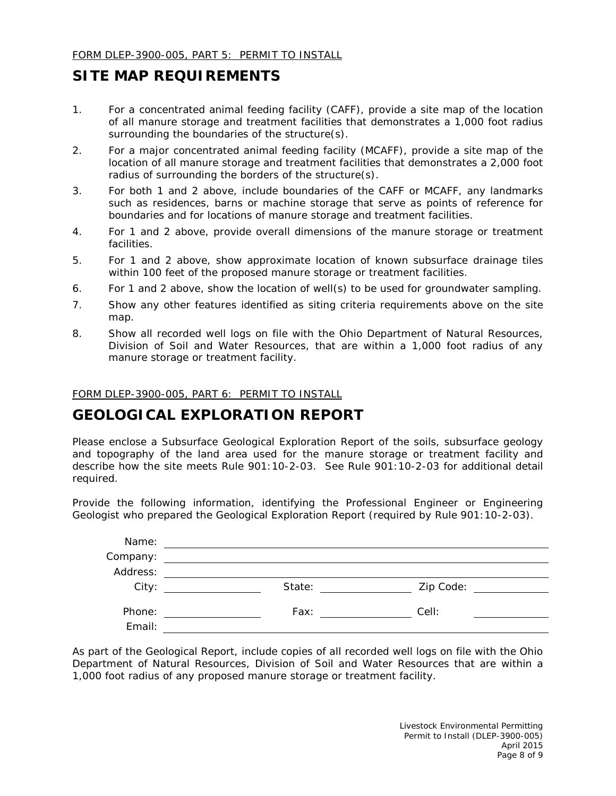### **SITE MAP REQUIREMENTS**

- 1. For a concentrated animal feeding facility (CAFF), provide a site map of the location of all manure storage and treatment facilities that demonstrates a 1,000 foot radius surrounding the boundaries of the structure(s).
- 2. For a major concentrated animal feeding facility (MCAFF), provide a site map of the location of all manure storage and treatment facilities that demonstrates a 2,000 foot radius of surrounding the borders of the structure(s).
- 3. For both 1 and 2 above, include boundaries of the CAFF or MCAFF, any landmarks such as residences, barns or machine storage that serve as points of reference for boundaries and for locations of manure storage and treatment facilities.
- 4. For 1 and 2 above, provide overall dimensions of the manure storage or treatment facilities.
- 5. For 1 and 2 above, show approximate location of known subsurface drainage tiles within 100 feet of the proposed manure storage or treatment facilities.
- 6. For 1 and 2 above, show the location of well(s) to be used for groundwater sampling.
- 7. Show any other features identified as siting criteria requirements above on the site map.
- 8. Show all recorded well logs on file with the Ohio Department of Natural Resources, Division of Soil and Water Resources, that are within a 1,000 foot radius of any manure storage or treatment facility.

FORM DLEP-3900-005, PART 6: PERMIT TO INSTALL

### **GEOLOGICAL EXPLORATION REPORT**

Please enclose a Subsurface Geological Exploration Report of the soils, subsurface geology and topography of the land area used for the manure storage or treatment facility and describe how the site meets Rule 901:10-2-03. See Rule 901:10-2-03 for additional detail required.

Provide the following information, identifying the Professional Engineer or Engineering Geologist who prepared the Geological Exploration Report (required by Rule 901:10-2-03).

| Name:    |        |           |  |
|----------|--------|-----------|--|
| Company: |        |           |  |
| Address: |        |           |  |
| City:    | State: | Zip Code: |  |
|          |        |           |  |
| Phone:   | Fax:   | Cell:     |  |
| Email:   |        |           |  |

As part of the Geological Report, include copies of all recorded well logs on file with the Ohio Department of Natural Resources, Division of Soil and Water Resources that are within a 1,000 foot radius of any proposed manure storage or treatment facility.